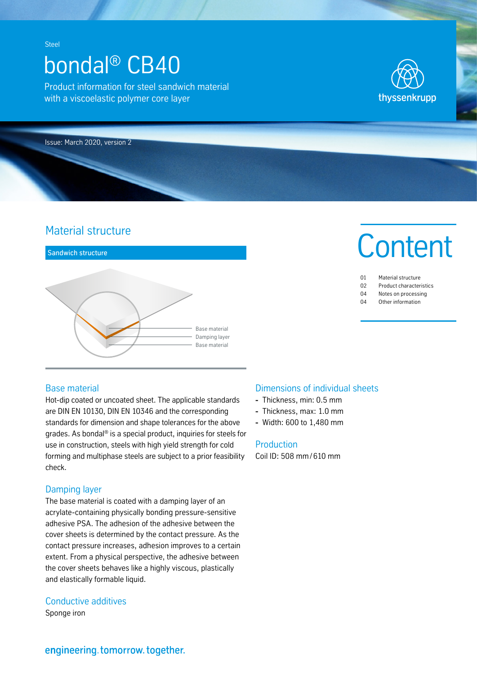# bondal® CB40

Product information for steel sandwich material with a viscoelastic polymer core layer



Issue: March 2020, version 2

# Material structure



## Base material

Hot-dip coated or uncoated sheet. The applicable standards are DIN EN 10130, DIN EN 10346 and the corresponding standards for dimension and shape tolerances for the above grades. As bondal® is a special product, inquiries for steels for use in construction, steels with high yield strength for cold forming and multiphase steels are subject to a prior feasibility check.

# Damping layer

The base material is coated with a damping layer of an acrylate-containing physically bonding pressure-sensitive adhesive PSA. The adhesion of the adhesive between the cover sheets is determined by the contact pressure. As the contact pressure increases, adhesion improves to a certain extent. From a physical perspective, the adhesive between the cover sheets behaves like a highly viscous, plastically and elastically formable liquid.

# Conductive additives

Sponge iron

# Dimensions of individual sheets

- **-** Thickness, min: 0.5 mm
- **-** Thickness, max: 1.0 mm
- **-** Width: 600 to 1,480 mm

#### **Production**

Coil ID: 508 mm/ 610 mm

# **Content**

| 01 | Material structure             |
|----|--------------------------------|
| 02 | <b>Product characteristics</b> |

- 04 Notes on processing
- 04 Other information

engineering.tomorrow.together.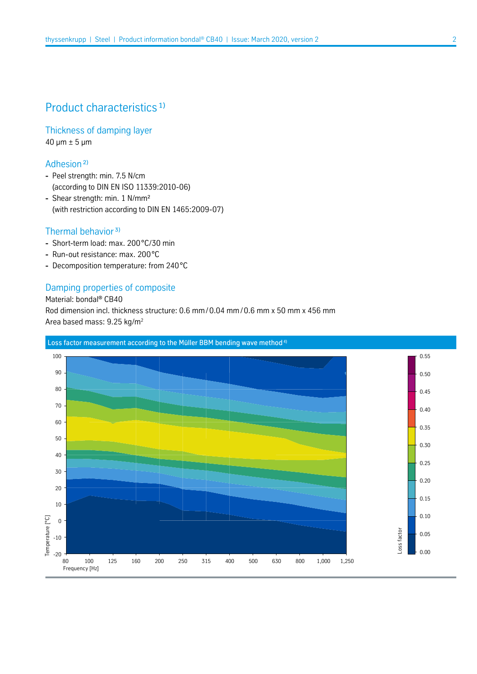# Product characteristics<sup>1)</sup>

Thickness of damping layer  $40 \mu m \pm 5 \mu m$ 

# Adhesion ²)

- **-** Peel strength: min. 7.5 N/cm (according to DIN EN ISO 11339:2010-06)
- **-** Shear strength: min. 1 N/mm² (with restriction according to DIN EN 1465:2009-07)

# Thermal behavior<sup>3)</sup>

- **-** Short-term load: max. 200°C/30 min
- **-** Run-out resistance: max. 200°C
- **-** Decomposition temperature: from 240°C

# Damping properties of composite

Material: bondal® CB40 Rod dimension incl. thickness structure: 0.6 mm/0.04 mm/ 0.6 mm x 50 mm x 456 mm Area based mass: 9.25 kg/m2

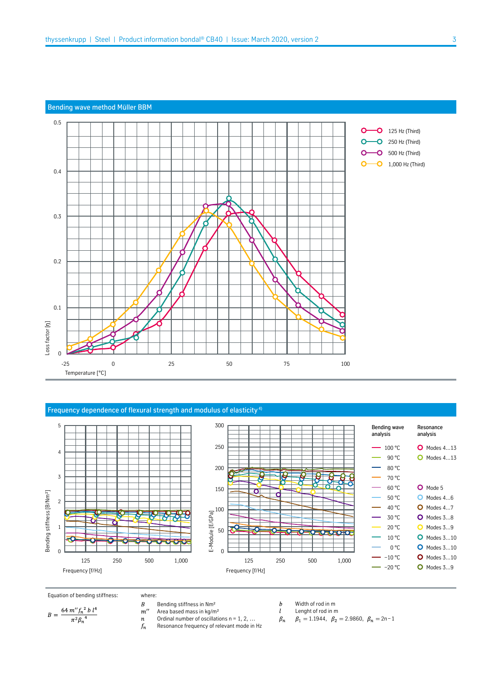#### Bending wave method Müller BBM



#### Frequency dependence of flexural strength and modulus of elasticity<sup>4)</sup>





where:

- 
- Area based mass in kg/m²
- Equation of bending stiffness: where:<br>  $B = \frac{64 m'' f_n^2 b l^4}{\pi^2 \beta_n^4}$   $B = \frac{64 m'' f_n^2 b l^4}{\pi^2 \beta_n^4}$   $B = \frac{164 m m''}{\pi^2 \beta_n^4}$   $B = \frac{164 m m''}{\pi^2 \beta_n^4}$ Ordinal number of oscillations  $n = 1, 2, ...$  $\boldsymbol{n}$ 
	- Resonance frequency of relevant mode in Hz  $f_n$
- $\boldsymbol{b}$ Width of rod in m  $\mathfrak{l}$ 
	- Lenght of rod in m
- $\beta_n$  $\beta_1 = 1.1944$ ,  $\beta_2 = 2.9860$ ,  $\beta_n = 2n-1$